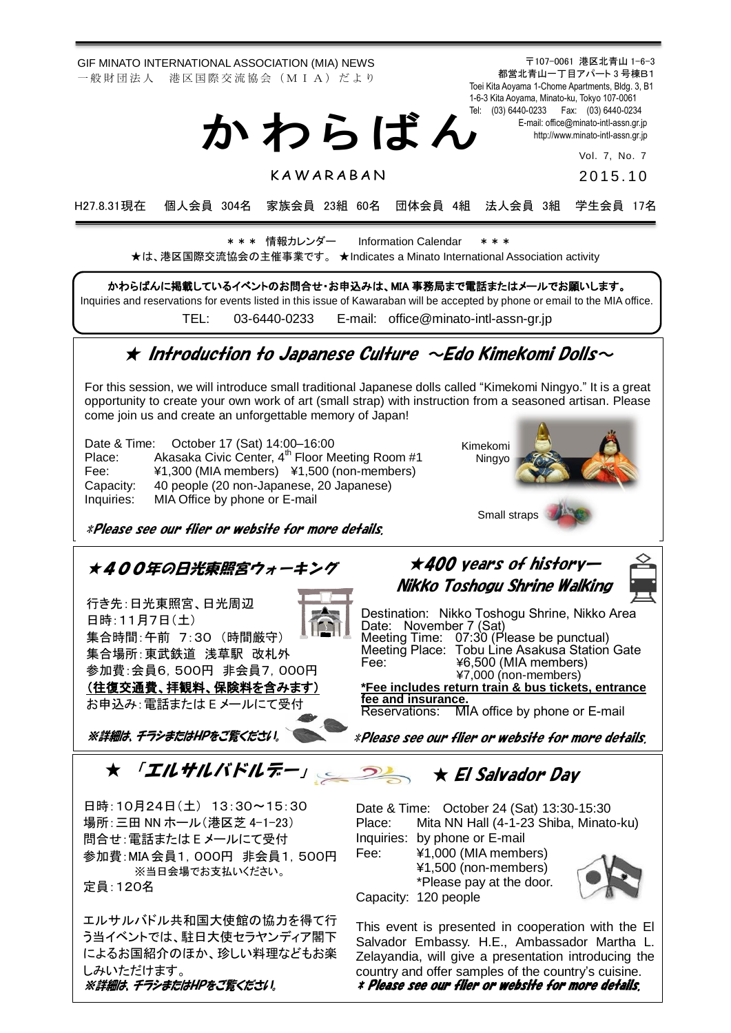GIF MINATO INTERNATIONAL ASSOCIATION (MIA) NEWS 一般財団法人 港区国際交流協会 (MIA) だより

か わ ら ば ん

**KAWARABAN** 

〒107-0061 港区北青山 1-6-3 都営北青山一丁目アパート 3 号棟B1 Toei Kita Aoyama 1-Chome Apartments, Bldg. 3, B1 1-6-3 Kita Aoyama, Minato-ku, Tokyo 107-0061 Tel: (03) 6440-0233 Fax: (03) 6440-0234 E-mail[: office@minato-intl-assn.gr.jp](mailto:office@minato-intl-assn.gr.jp) [http://www.minato-intl-assn.gr.jp](http://www.minato-intl-assn.gr.jp/)

Vol. 7, No. 7

2015. 1 0

H27.8.31現在 個人会員 304名 家族会員 23組 60名 団体会員 4組 法人会員 3組 学生会員 17名

\* \* \* 情報カレンダー Information Calendar \* \* \* ★は、港区国際交流協会の主催事業です。 ★Indicates a Minato International Association activity

かわらばんに掲載しているイベントのお問合せ・お申込みは、MIA 事務局まで電話またはメールでお願いします。

Inquiries and reservations for events listed in this issue of Kawaraban will be accepted by phone or email to the MIA office.

TEL: [03-6440-0233](mailto:TEL:%0903-6440-0233) E-mail: [office@minato-intl-assn-gr.jp](mailto:office@minato-intl-assn-gr.jp)

# $\star$  Introduction to Japanese Culture  $\sim$ Edo Kimekomi Dolls $\sim$

For this session, we will introduce small traditional Japanese dolls called "Kimekomi Ningyo." It is a great opportunity to create your own work of art (small strap) with instruction from a seasoned artisan. Please come join us and create an unforgettable memory of Japan!

Date & Time: October 17 (Sat) 14:00–16:00 Place: Akasaka Civic Center, 4<sup>th</sup> Floor Meeting Room #1 Fee: ¥1,300 (MIA members) ¥1,500 (non-members) Capacity: 40 people (20 non-Japanese, 20 Japanese) Inquiries: MIA Office by phone or E-mail

\*Please see our flier or website for more details.

※当日会場でお支払いください。

エルサルバドル共和国大使館の協力を得て行 う当イベントでは、駐日大使セラヤンディア閣下 によるお国紹介のほか、珍しい料理などもお楽

※詳細は、チラシまたはHPをご覧ください。

定員:120名

しみいただけます。





¥1,500 (non-members) \*Please pay at the door. Capacity: 120 people



This event is presented in cooperation with the El Salvador Embassy. H.E., Ambassador Martha L. Zelayandia, will give a presentation introducing the country and offer samples of the country's cuisine. \* Please see our flier or website for more details.